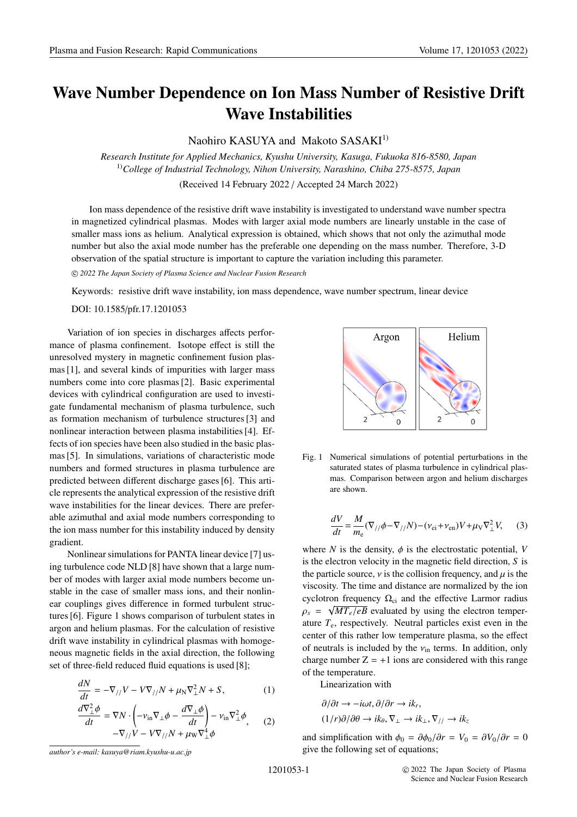## **Wave Number Dependence on Ion Mass Number of Resistive Drift Wave Instabilities**

Naohiro KASUYA and Makoto SASAKI<sup>1)</sup>

*Research Institute for Applied Mechanics, Kyushu University, Kasuga, Fukuoka 816-8580, Japan* 1)*College of Industrial Technology, Nihon University, Narashino, Chiba 275-8575, Japan* (Received 14 February 2022 / Accepted 24 March 2022)

Ion mass dependence of the resistive drift wave instability is investigated to understand wave number spectra in magnetized cylindrical plasmas. Modes with larger axial mode numbers are linearly unstable in the case of smaller mass ions as helium. Analytical expression is obtained, which shows that not only the azimuthal mode number but also the axial mode number has the preferable one depending on the mass number. Therefore, 3-D observation of the spatial structure is important to capture the variation including this parameter.

-c *2022 The Japan Society of Plasma Science and Nuclear Fusion Research*

Keywords: resistive drift wave instability, ion mass dependence, wave number spectrum, linear device

DOI: 10.1585/pfr.17.1201053

Variation of ion species in discharges affects performance of plasma confinement. Isotope effect is still the unresolved mystery in magnetic confinement fusion plasmas [1], and several kinds of impurities with larger mass numbers come into core plasmas [2]. Basic experimental devices with cylindrical configuration are used to investigate fundamental mechanism of plasma turbulence, such as formation mechanism of turbulence structures [3] and nonlinear interaction between plasma instabilities [4]. Effects of ion species have been also studied in the basic plasmas [5]. In simulations, variations of characteristic mode numbers and formed structures in plasma turbulence are predicted between different discharge gases [6]. This article represents the analytical expression of the resistive drift wave instabilities for the linear devices. There are preferable azimuthal and axial mode numbers corresponding to the ion mass number for this instability induced by density gradient.

Nonlinear simulations for PANTA linear device [7] using turbulence code NLD [8] have shown that a large number of modes with larger axial mode numbers become unstable in the case of smaller mass ions, and their nonlinear couplings gives difference in formed turbulent structures [6]. Figure 1 shows comparison of turbulent states in argon and helium plasmas. For the calculation of resistive drift wave instability in cylindrical plasmas with homogeneous magnetic fields in the axial direction, the following set of three-field reduced fluid equations is used [8];

$$
\frac{dN}{dt} = -\nabla_{//} V - V\nabla_{//} N + \mu_N \nabla^2_{\perp} N + S,\tag{1}
$$

$$
\frac{d\nabla_{\perp}^{2} \phi}{dt} = \nabla N \cdot \left( -\nu_{\text{in}} \nabla_{\perp} \phi - \frac{d\nabla_{\perp} \phi}{dt} \right) - \nu_{\text{in}} \nabla_{\perp}^{2} \phi, \qquad (2)
$$

$$
-\nabla_{//} V - V \nabla_{//} N + \mu_{\text{W}} \nabla_{\perp}^{4} \phi
$$



Fig. 1 Numerical simulations of potential perturbations in the saturated states of plasma turbulence in cylindrical plasmas. Comparison between argon and helium discharges are shown.

$$
\frac{dV}{dt} = \frac{M}{m_{\text{e}}} (\nabla_{//} \phi - \nabla_{//} N) - (\nu_{\text{ei}} + \nu_{\text{en}}) V + \mu_{\text{V}} \nabla_{\perp}^{2} V,\tag{3}
$$

where *N* is the density,  $\phi$  is the electrostatic potential, *V* is the electron velocity in the magnetic field direction, *S* is the particle source,  $\nu$  is the collision frequency, and  $\mu$  is the viscosity. The time and distance are normalized by the ion cyclotron frequency  $\Omega_{ci}$  and the effective Larmor radius  $\rho_s = \sqrt{MT_e/eB}$  evaluated by using the electron temperature  $T_e$ , respectively. Neutral particles exist even in the center of this rather low temperature plasma, so the effect of neutrals is included by the  $v_{\text{in}}$  terms. In addition, only charge number  $Z = +1$  ions are considered with this range of the temperature.

Linearization with

$$
\partial/\partial t \to -i\omega t, \partial/\partial r \to ik_r,
$$
  

$$
(1/r)\partial/\partial \theta \to ik_\theta, \nabla_{\perp} \to ik_{\perp}, \nabla_{//} \to ik_z
$$

and simplification with  $\phi_0 = \partial \phi_0 / \partial r = V_0 = \partial V_0 / \partial r = 0$ give the following set of equations;

*author's e-mail: kasuya@riam.kyushu-u.ac.jp*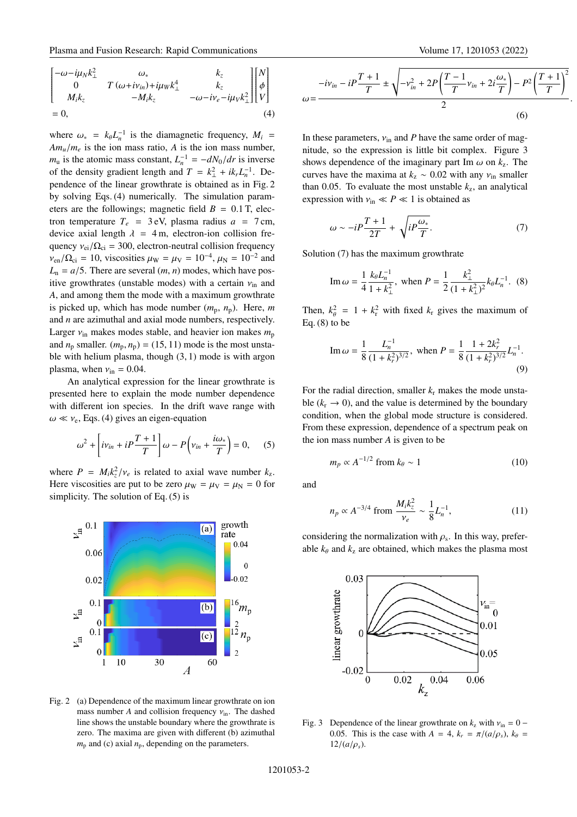where  $\omega_* = k_\theta L_n^{-1}$  is the diamagnetic frequency,  $M_i$  =  $Am_u/m_e$  is the ion mass ratio, *A* is the ion mass number,  $m_u$  is the atomic mass constant,  $L_n^{-1} = -dN_0/dr$  is inverse of the density gradient length and  $T = k_{\perp}^2 + ik_r L_n^{-1}$ . Dependence of the linear growthrate is obtained as in Fig. 2 by solving Eqs. (4) numerically. The simulation parameters are the followings; magnetic field  $B = 0.1$  T, electron temperature  $T_e$  = 3 eV, plasma radius  $a$  = 7 cm, device axial length  $\lambda = 4$  m, electron-ion collision frequency  $v_{ei}/\Omega_{ci} = 300$ , electron-neutral collision frequency  $v_{en}/\Omega_{ci} = 10$ , viscosities  $\mu_{W} = \mu_{V} = 10^{-4}$ ,  $\mu_{N} = 10^{-2}$  and  $L_n = a/5$ . There are several  $(m, n)$  modes, which have positive growthrates (unstable modes) with a certain  $v_{\text{in}}$  and *A*, and among them the mode with a maximum growthrate is picked up, which has mode number  $(m_p, n_p)$ . Here, *m* and *n* are azimuthal and axial mode numbers, respectively. Larger  $v_{\text{in}}$  makes modes stable, and heavier ion makes  $m_{\text{p}}$ and  $n_p$  smaller.  $(m_p, n_p) = (15, 11)$  mode is the most unstable with helium plasma, though (3, 1) mode is with argon plasma, when  $v_{\rm in} = 0.04$ .

An analytical expression for the linear growthrate is presented here to explain the mode number dependence with different ion species. In the drift wave range with  $\omega \ll v_e$ , Eqs. (4) gives an eigen-equation

$$
\omega^2 + \left[ i v_{in} + i P \frac{T+1}{T} \right] \omega - P \left( v_{in} + \frac{i \omega_*}{T} \right) = 0, \quad (5)
$$

where  $P = M_i k_z^2 / v_e$  is related to axial wave number  $k_z$ . Here viscosities are put to be zero  $\mu_{\rm W} = \mu_{\rm V} = \mu_{\rm N} = 0$  for simplicity. The solution of Eq. (5) is



Fig. 2 (a) Dependence of the maximum linear growthrate on ion mass number *A* and collision frequency  $v_{\text{in}}$ . The dashed line shows the unstable boundary where the growthrate is zero. The maxima are given with different (b) azimuthal  $m<sub>p</sub>$  and (c) axial  $n<sub>p</sub>$ , depending on the parameters.

$$
\omega = \frac{-iv_{in} - iP\frac{T+1}{T} \pm \sqrt{-v_{in}^{2} + 2P\left(\frac{T-1}{T}v_{in} + 2i\frac{\omega_{*}}{T}\right) - P^{2}\left(\frac{T+1}{T}\right)^{2}}}{2}.
$$
\n(6)

In these parameters,  $v_{\text{in}}$  and *P* have the same order of magnitude, so the expression is little bit complex. Figure 3 shows dependence of the imaginary part Im  $\omega$  on  $k_z$ . The curves have the maxima at  $k_z \sim 0.02$  with any  $v_{in}$  smaller than 0.05. To evaluate the most unstable  $k_z$ , an analytical expression with  $v_{\text{in}} \ll P \ll 1$  is obtained as

$$
\omega \sim -i P \frac{T+1}{2T} + \sqrt{i P \frac{\omega_*}{T}}.
$$
\n(7)

Solution (7) has the maximum growthrate

Im 
$$
\omega = \frac{1}{4} \frac{k_{\theta} L_{n}^{-1}}{1 + k_{\perp}^{2}}
$$
, when  $P = \frac{1}{2} \frac{k_{\perp}^{2}}{(1 + k_{\perp}^{2})^{2}} k_{\theta} L_{n}^{-1}$ . (8)

Then,  $k_{\theta}^2 = 1 + k_{\text{r}}^2$  with fixed  $k_{\text{r}}$  gives the maximum of Eq.  $(8)$  to be

Im 
$$
\omega = \frac{1}{8} \frac{L_n^{-1}}{(1 + k_r^2)^{3/2}}
$$
, when  $P = \frac{1}{8} \frac{1 + 2k_r^2}{(1 + k_r^2)^{3/2}} L_n^{-1}$ . (9)

For the radial direction, smaller  $k_r$  makes the mode unstable  $(k_r \rightarrow 0)$ , and the value is determined by the boundary condition, when the global mode structure is considered. From these expression, dependence of a spectrum peak on the ion mass number *A* is given to be

$$
m_p \propto A^{-1/2} \text{ from } k_\theta \sim 1 \tag{10}
$$

and

$$
n_p \propto A^{-3/4} \text{ from } \frac{M_i k_z^2}{v_e} \sim \frac{1}{8} L_n^{-1},\tag{11}
$$

considering the normalization with  $\rho_s$ . In this way, preferable  $k_{\theta}$  and  $k_{z}$  are obtained, which makes the plasma most



Fig. 3 Dependence of the linear growthrate on  $k_z$  with  $v_{\text{in}} = 0$  – 0.05. This is the case with  $A = 4$ ,  $k_r = \pi/(a/\rho_s)$ ,  $k_\theta =$  $12/(a/\rho_s)$ .